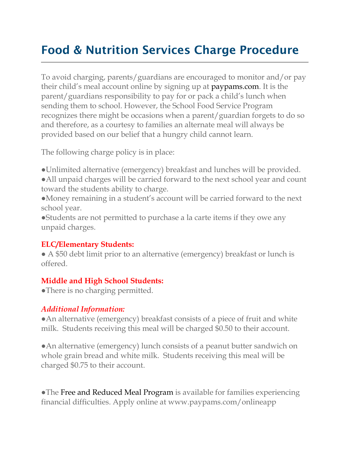# Food & Nutrition Services Charge Procedure

To avoid charging, parents/guardians are encouraged to monitor and/or pay their child's meal account online by signing up at [paypams.com.](https://www.myschoolbucks.com/) It is the parent/guardians responsibility to pay for or pack a child's lunch when sending them to school. However, the School Food Service Program recognizes there might be occasions when a parent/guardian forgets to do so and therefore, as a courtesy to families an alternate meal will always be provided based on our belief that a hungry child cannot learn.

The following charge policy is in place:

●Unlimited alternative (emergency) breakfast and lunches will be provided. ●All unpaid charges will be carried forward to the next school year and count toward the students ability to charge.

●Money remaining in a student's account will be carried forward to the next school year.

●Students are not permitted to purchase a la carte items if they owe any unpaid charges.

#### **ELC/Elementary Students:**

• A \$50 debt limit prior to an alternative (emergency) breakfast or lunch is offered.

#### **Middle and High School Students:**

• There is no charging permitted.

#### *Additional Information:*

●An alternative (emergency) breakfast consists of a piece of fruit and white milk. Students receiving this meal will be charged \$0.50 to their account.

●An alternative (emergency) lunch consists of a peanut butter sandwich on whole grain bread and white milk. Students receiving this meal will be charged \$0.75 to their account.

●The [Free and Reduced Meal Program i](https://www.heartlandapps.com/Terms.aspx?host=bullitt.heartlandapps.com&apply=1)s available for families experiencing financial difficulties. Apply online at www.paypams.com/onlineapp